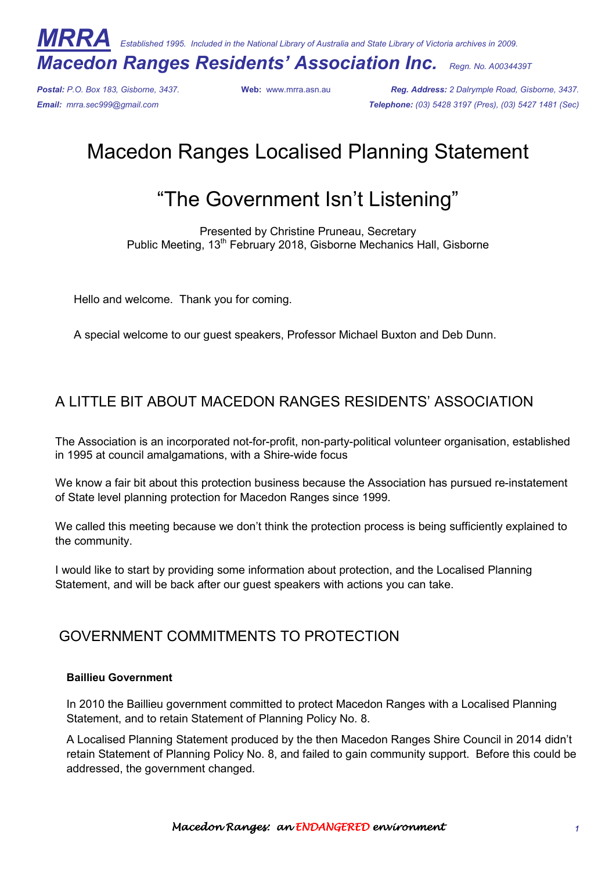*MRRA Established 1995. Included in the National Library of Australia and State Library of Victoria archives in 2009.* 

## *Macedon Ranges Residents' Association Inc. Regn. No. A0034439T*

*Postal: P.O. Box 183, Gisborne, 3437.* **Web:** www.mrra.asn.au *Reg. Address: 2 Dalrymple Road, Gisborne, 3437. Email: mrra.sec999@gmail.com Telephone: (03) 5428 3197 (Pres), (03) 5427 1481 (Sec)*

# Macedon Ranges Localised Planning Statement

# "The Government Isn't Listening"

Presented by Christine Pruneau, Secretary Public Meeting, 13<sup>th</sup> February 2018, Gisborne Mechanics Hall, Gisborne

Hello and welcome. Thank you for coming.

A special welcome to our guest speakers, Professor Michael Buxton and Deb Dunn.

### A LITTLE BIT ABOUT MACEDON RANGES RESIDENTS' ASSOCIATION

The Association is an incorporated not-for-profit, non-party-political volunteer organisation, established in 1995 at council amalgamations, with a Shire-wide focus

We know a fair bit about this protection business because the Association has pursued re-instatement of State level planning protection for Macedon Ranges since 1999.

We called this meeting because we don't think the protection process is being sufficiently explained to the community.

I would like to start by providing some information about protection, and the Localised Planning Statement, and will be back after our guest speakers with actions you can take.

### GOVERNMENT COMMITMENTS TO PROTECTION

#### **Baillieu Government**

In 2010 the Baillieu government committed to protect Macedon Ranges with a Localised Planning Statement, and to retain Statement of Planning Policy No. 8.

A Localised Planning Statement produced by the then Macedon Ranges Shire Council in 2014 didn't retain Statement of Planning Policy No. 8, and failed to gain community support. Before this could be addressed, the government changed.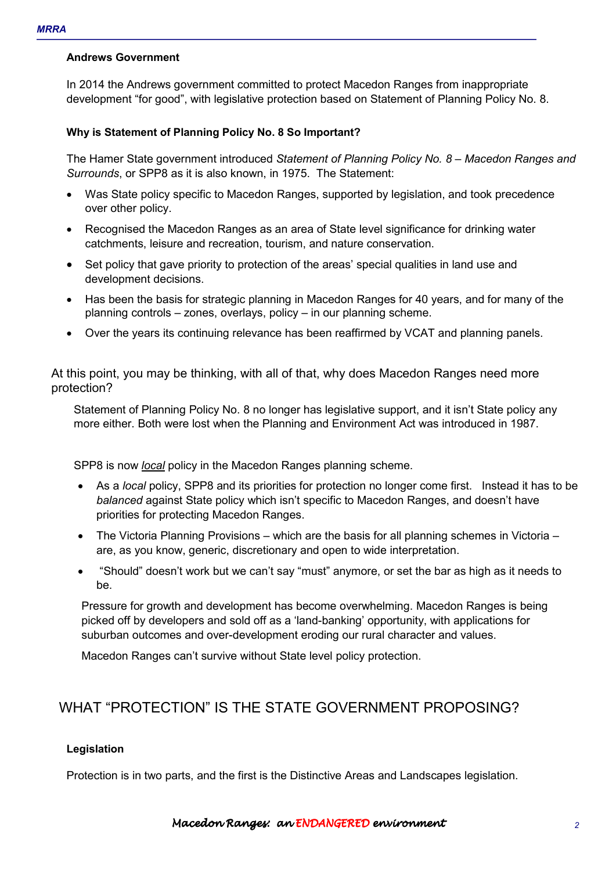#### **Andrews Government**

In 2014 the Andrews government committed to protect Macedon Ranges from inappropriate development "for good", with legislative protection based on Statement of Planning Policy No. 8.

#### **Why is Statement of Planning Policy No. 8 So Important?**

The Hamer State government introduced *Statement of Planning Policy No. 8 – Macedon Ranges and Surrounds*, or SPP8 as it is also known, in 1975. The Statement:

- Was State policy specific to Macedon Ranges, supported by legislation, and took precedence over other policy.
- Recognised the Macedon Ranges as an area of State level significance for drinking water catchments, leisure and recreation, tourism, and nature conservation.
- Set policy that gave priority to protection of the areas' special qualities in land use and development decisions.
- Has been the basis for strategic planning in Macedon Ranges for 40 years, and for many of the planning controls – zones, overlays, policy – in our planning scheme.
- Over the years its continuing relevance has been reaffirmed by VCAT and planning panels.

At this point, you may be thinking, with all of that, why does Macedon Ranges need more protection?

Statement of Planning Policy No. 8 no longer has legislative support, and it isn't State policy any more either. Both were lost when the Planning and Environment Act was introduced in 1987.

SPP8 is now *local* policy in the Macedon Ranges planning scheme.

- As a *local* policy, SPP8 and its priorities for protection no longer come first. Instead it has to be *balanced* against State policy which isn't specific to Macedon Ranges, and doesn't have priorities for protecting Macedon Ranges.
- The Victoria Planning Provisions which are the basis for all planning schemes in Victoria are, as you know, generic, discretionary and open to wide interpretation.
- "Should" doesn't work but we can't say "must" anymore, or set the bar as high as it needs to be.

Pressure for growth and development has become overwhelming. Macedon Ranges is being picked off by developers and sold off as a 'land-banking' opportunity, with applications for suburban outcomes and over-development eroding our rural character and values.

Macedon Ranges can't survive without State level policy protection.

### WHAT "PROTECTION" IS THE STATE GOVERNMENT PROPOSING?

#### **Legislation**

Protection is in two parts, and the first is the Distinctive Areas and Landscapes legislation.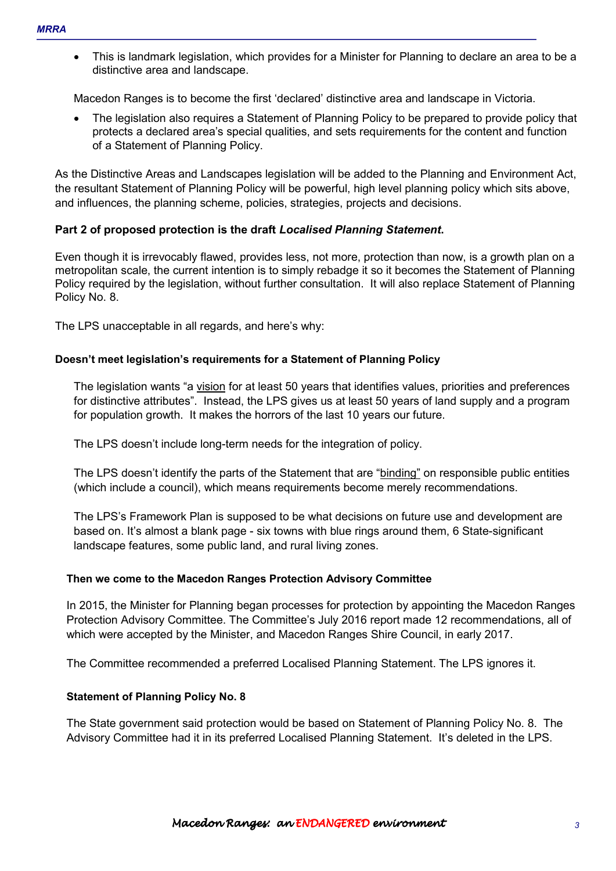• This is landmark legislation, which provides for a Minister for Planning to declare an area to be a distinctive area and landscape.

Macedon Ranges is to become the first 'declared' distinctive area and landscape in Victoria.

• The legislation also requires a Statement of Planning Policy to be prepared to provide policy that protects a declared area's special qualities, and sets requirements for the content and function of a Statement of Planning Policy.

As the Distinctive Areas and Landscapes legislation will be added to the Planning and Environment Act, the resultant Statement of Planning Policy will be powerful, high level planning policy which sits above, and influences, the planning scheme, policies, strategies, projects and decisions.

### **Part 2 of proposed protection is the draft** *Localised Planning Statement***.**

Even though it is irrevocably flawed, provides less, not more, protection than now, is a growth plan on a metropolitan scale, the current intention is to simply rebadge it so it becomes the Statement of Planning Policy required by the legislation, without further consultation. It will also replace Statement of Planning Policy No. 8.

The LPS unacceptable in all regards, and here's why:

#### **Doesn't meet legislation's requirements for a Statement of Planning Policy**

The legislation wants "a vision for at least 50 years that identifies values, priorities and preferences for distinctive attributes". Instead, the LPS gives us at least 50 years of land supply and a program for population growth. It makes the horrors of the last 10 years our future.

The LPS doesn't include long-term needs for the integration of policy.

The LPS doesn't identify the parts of the Statement that are "binding" on responsible public entities (which include a council), which means requirements become merely recommendations.

The LPS's Framework Plan is supposed to be what decisions on future use and development are based on. It's almost a blank page - six towns with blue rings around them, 6 State-significant landscape features, some public land, and rural living zones.

#### **Then we come to the Macedon Ranges Protection Advisory Committee**

In 2015, the Minister for Planning began processes for protection by appointing the Macedon Ranges Protection Advisory Committee. The Committee's July 2016 report made 12 recommendations, all of which were accepted by the Minister, and Macedon Ranges Shire Council, in early 2017.

The Committee recommended a preferred Localised Planning Statement. The LPS ignores it.

#### **Statement of Planning Policy No. 8**

The State government said protection would be based on Statement of Planning Policy No. 8. The Advisory Committee had it in its preferred Localised Planning Statement. It's deleted in the LPS.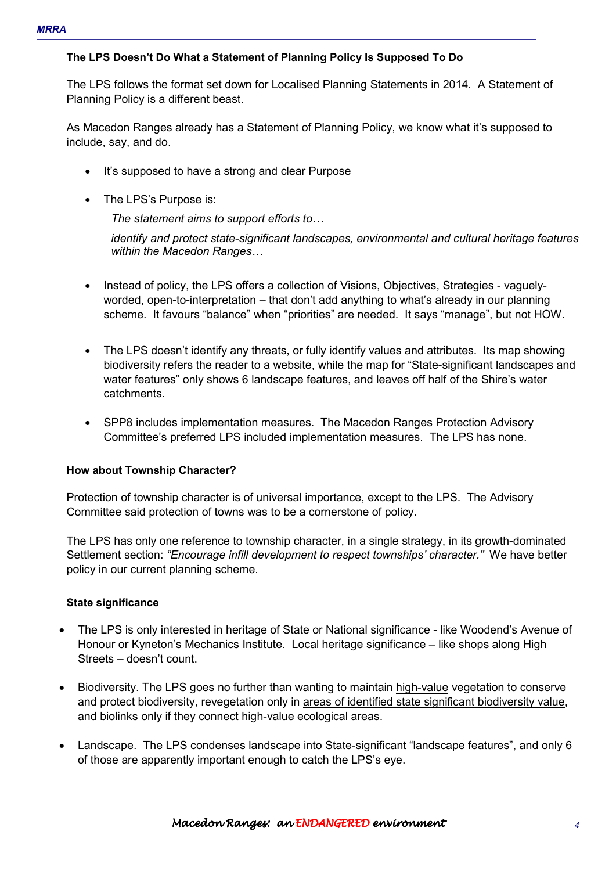### **The LPS Doesn't Do What a Statement of Planning Policy Is Supposed To Do**

The LPS follows the format set down for Localised Planning Statements in 2014. A Statement of Planning Policy is a different beast.

As Macedon Ranges already has a Statement of Planning Policy, we know what it's supposed to include, say, and do.

- It's supposed to have a strong and clear Purpose
- The LPS's Purpose is:

*The statement aims to support efforts to...* 

*identify and protect state-significant landscapes, environmental and cultural heritage features within the Macedon Ranges...* 

- Instead of policy, the LPS offers a collection of Visions, Objectives, Strategies vaguelyworded, open-to-interpretation – that don't add anything to what's already in our planning scheme. It favours "balance" when "priorities" are needed. It says "manage", but not HOW.
- The LPS doesn't identify any threats, or fully identify values and attributes. Its map showing biodiversity refers the reader to a website, while the map for "State-significant landscapes and water features" only shows 6 landscape features, and leaves off half of the Shire's water catchments.
- SPP8 includes implementation measures. The Macedon Ranges Protection Advisory Committee's preferred LPS included implementation measures. The LPS has none.

### **How about Township Character?**

Protection of township character is of universal importance, except to the LPS. The Advisory Committee said protection of towns was to be a cornerstone of policy.

The LPS has only one reference to township character, in a single strategy, in its growth-dominated Settlement section: *"Encourage infill development to respect townships' character."* We have better policy in our current planning scheme.

### **State significance**

- The LPS is only interested in heritage of State or National significance like Woodend's Avenue of Honour or Kyneton's Mechanics Institute. Local heritage significance – like shops along High Streets – doesn't count.
- Biodiversity. The LPS goes no further than wanting to maintain high-value vegetation to conserve and protect biodiversity, revegetation only in areas of identified state significant biodiversity value, and biolinks only if they connect high-value ecological areas.
- Landscape. The LPS condenses landscape into State-significant "landscape features", and only 6 of those are apparently important enough to catch the LPS's eye.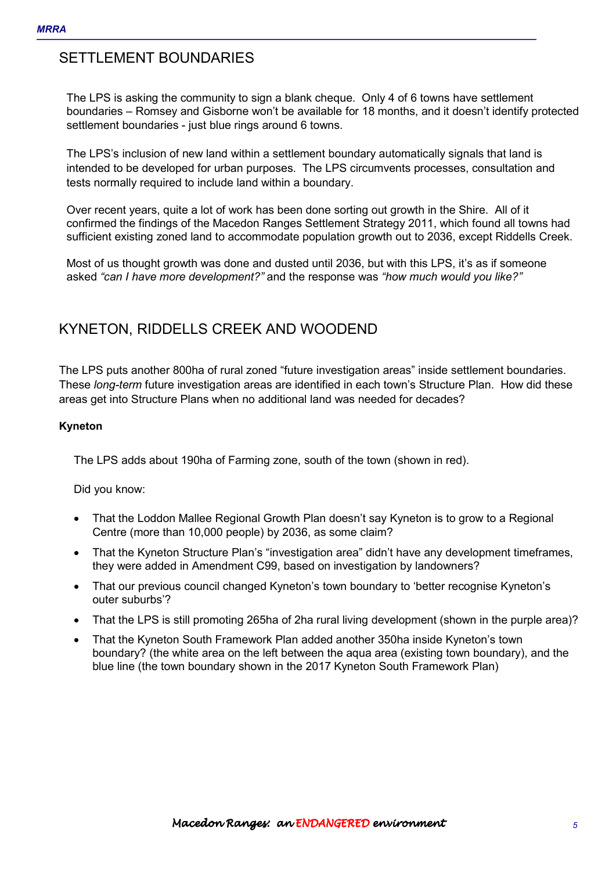### SFTTI FMFNT BOUNDARIES

The LPS is asking the community to sign a blank cheque. Only 4 of 6 towns have settlement boundaries – Romsey and Gisborne won't be available for 18 months, and it doesn't identify protected settlement boundaries - just blue rings around 6 towns.

The LPS's inclusion of new land within a settlement boundary automatically signals that land is intended to be developed for urban purposes. The LPS circumvents processes, consultation and tests normally required to include land within a boundary.

Over recent years, quite a lot of work has been done sorting out growth in the Shire. All of it confirmed the findings of the Macedon Ranges Settlement Strategy 2011, which found all towns had sufficient existing zoned land to accommodate population growth out to 2036, except Riddells Creek.

Most of us thought growth was done and dusted until 2036, but with this LPS, it's as if someone asked *"can I have more development?"* and the response was *"how much would you like?"* 

### KYNETON, RIDDELLS CREEK AND WOODEND

The LPS puts another 800ha of rural zoned "future investigation areas" inside settlement boundaries. These *long-term* future investigation areas are identified in each town's Structure Plan. How did these areas get into Structure Plans when no additional land was needed for decades?

#### **Kyneton**

The LPS adds about 190ha of Farming zone, south of the town (shown in red).

Did you know:

- That the Loddon Mallee Regional Growth Plan doesn't say Kyneton is to grow to a Regional Centre (more than 10,000 people) by 2036, as some claim?
- That the Kyneton Structure Plan's "investigation area" didn't have any development timeframes, they were added in Amendment C99, based on investigation by landowners?
- That our previous council changed Kyneton's town boundary to 'better recognise Kyneton's outer suburbs'?
- That the LPS is still promoting 265ha of 2ha rural living development (shown in the purple area)?
- That the Kyneton South Framework Plan added another 350ha inside Kyneton's town boundary? (the white area on the left between the aqua area (existing town boundary), and the blue line (the town boundary shown in the 2017 Kyneton South Framework Plan)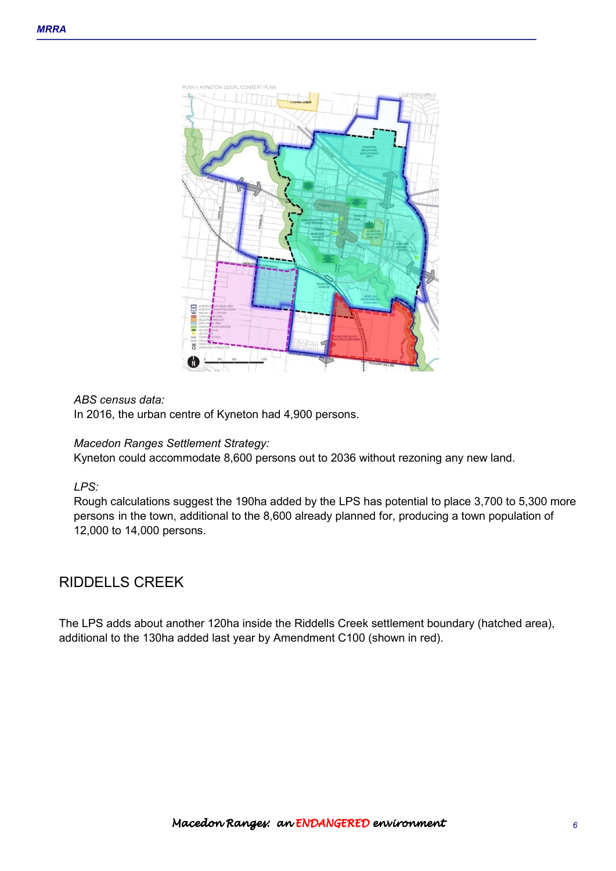

#### *ABS census data:*

In 2016, the urban centre of Kyneton had 4,900 persons.

### *Macedon Ranges Settlement Strategy:*

Kyneton could accommodate 8,600 persons out to 2036 without rezoning any new land.

### *LPS:*

Rough calculations suggest the 190ha added by the LPS has potential to place 3,700 to 5,300 more persons in the town, additional to the 8,600 already planned for, producing a town population of 12,000 to 14,000 persons.

### RIDDELLS CREEK

The LPS adds about another 120ha inside the Riddells Creek settlement boundary (hatched area), additional to the 130ha added last year by Amendment C100 (shown in red).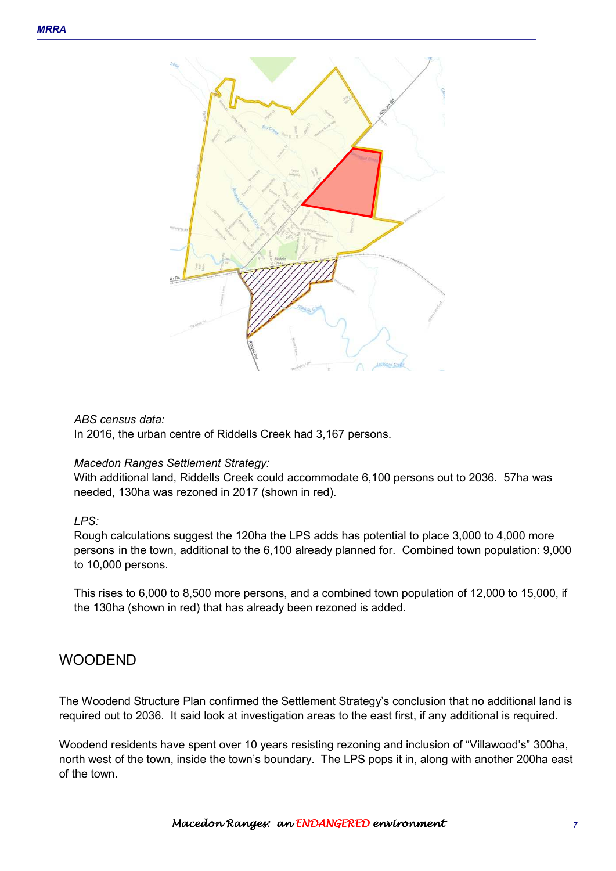

#### *ABS census data:*

In 2016, the urban centre of Riddells Creek had 3,167 persons.

#### *Macedon Ranges Settlement Strategy:*

With additional land, Riddells Creek could accommodate 6,100 persons out to 2036. 57ha was needed, 130ha was rezoned in 2017 (shown in red).

### *LPS:*

Rough calculations suggest the 120ha the LPS adds has potential to place 3,000 to 4,000 more persons in the town, additional to the 6,100 already planned for. Combined town population: 9,000 to 10,000 persons.

This rises to 6,000 to 8,500 more persons, and a combined town population of 12,000 to 15,000, if the 130ha (shown in red) that has already been rezoned is added.

### WOODEND

The Woodend Structure Plan confirmed the Settlement Strategy's conclusion that no additional land is required out to 2036. It said look at investigation areas to the east first, if any additional is required.

Woodend residents have spent over 10 years resisting rezoning and inclusion of "Villawood's" 300ha, north west of the town, inside the town's boundary. The LPS pops it in, along with another 200ha east of the town.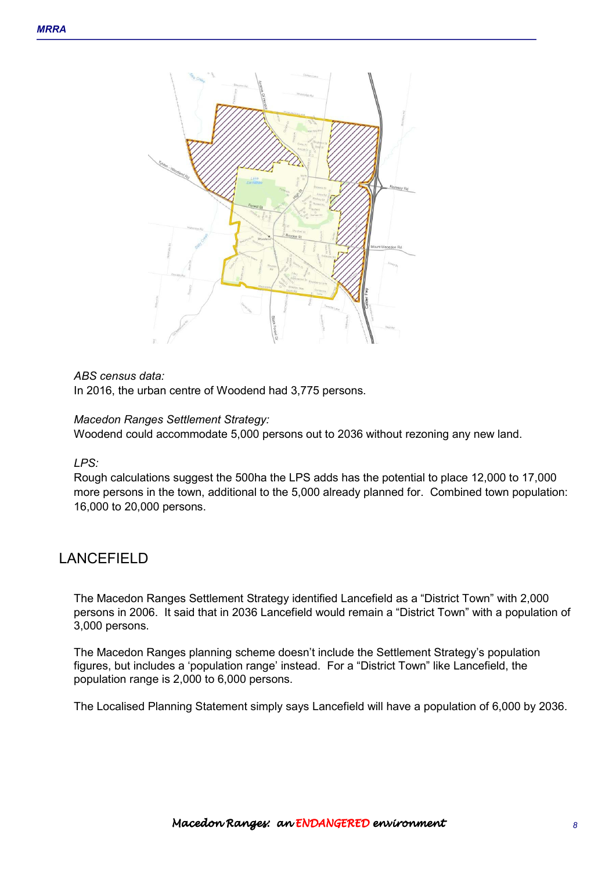

#### *ABS census data:*

In 2016, the urban centre of Woodend had 3,775 persons.

#### *Macedon Ranges Settlement Strategy:*

Woodend could accommodate 5,000 persons out to 2036 without rezoning any new land.

*LPS:*

Rough calculations suggest the 500ha the LPS adds has the potential to place 12,000 to 17,000 more persons in the town, additional to the 5,000 already planned for. Combined town population: 16,000 to 20,000 persons.

### LANCEFIELD

The Macedon Ranges Settlement Strategy identified Lancefield as a "District Town" with 2,000 persons in 2006. It said that in 2036 Lancefield would remain a "District Town" with a population of 3,000 persons.

The Macedon Ranges planning scheme doesn't include the Settlement Strategy's population figures, but includes a 'population range' instead. For a "District Town" like Lancefield, the population range is 2,000 to 6,000 persons.

The Localised Planning Statement simply says Lancefield will have a population of 6,000 by 2036.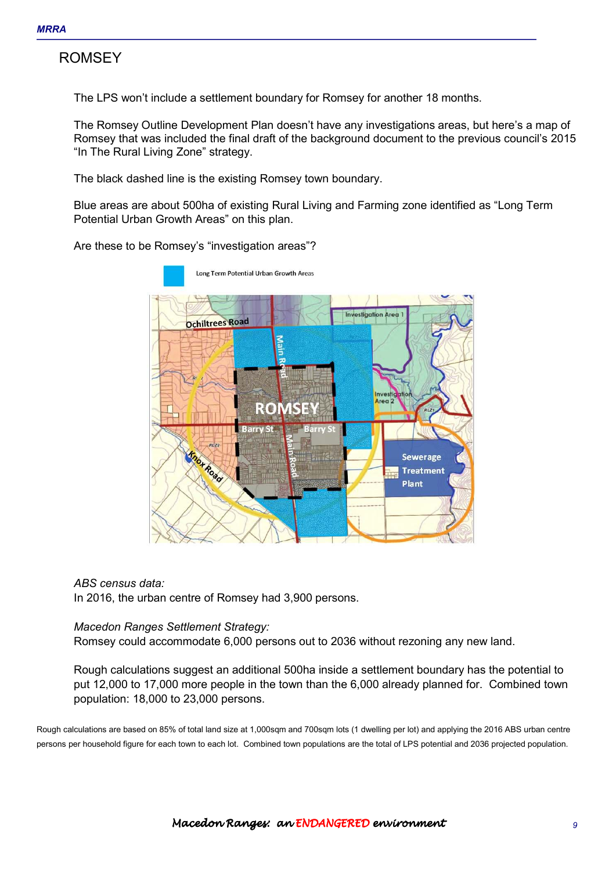### **ROMSFY**

The LPS won't include a settlement boundary for Romsey for another 18 months.

The Romsey Outline Development Plan doesn't have any investigations areas, but here's a map of Romsey that was included the final draft of the background document to the previous council's 2015 "In The Rural Living Zone" strategy.

The black dashed line is the existing Romsey town boundary.

Blue areas are about 500ha of existing Rural Living and Farming zone identified as "Long Term Potential Urban Growth Areas" on this plan.

Are these to be Romsey's "investigation areas"?



#### *ABS census data:*

In 2016, the urban centre of Romsey had 3,900 persons.

#### *Macedon Ranges Settlement Strategy:*

Romsey could accommodate 6,000 persons out to 2036 without rezoning any new land.

Rough calculations suggest an additional 500ha inside a settlement boundary has the potential to put 12,000 to 17,000 more people in the town than the 6,000 already planned for. Combined town population: 18,000 to 23,000 persons.

Rough calculations are based on 85% of total land size at 1,000sqm and 700sqm lots (1 dwelling per lot) and applying the 2016 ABS urban centre persons per household figure for each town to each lot. Combined town populations are the total of LPS potential and 2036 projected population.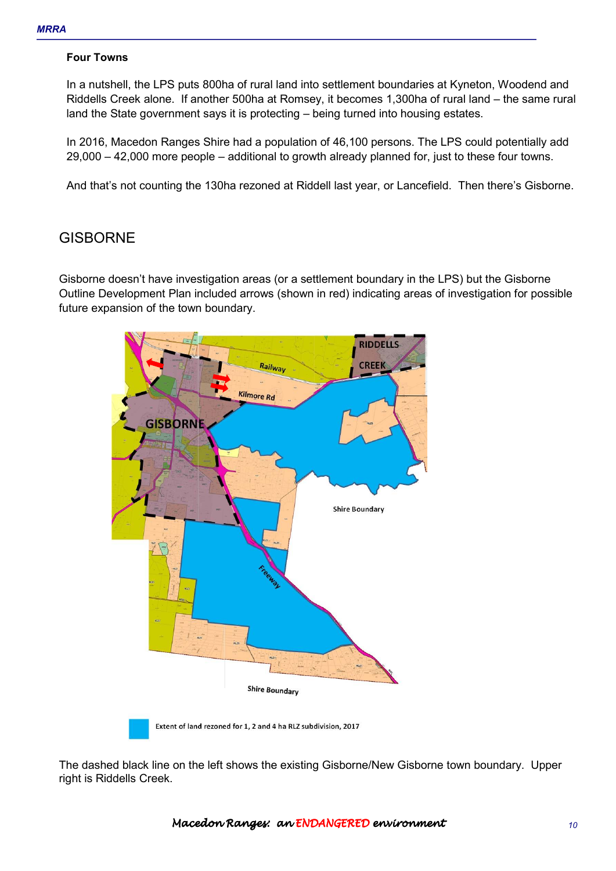#### **Four Towns**

In a nutshell, the LPS puts 800ha of rural land into settlement boundaries at Kyneton, Woodend and Riddells Creek alone. If another 500ha at Romsey, it becomes 1,300ha of rural land – the same rural land the State government says it is protecting – being turned into housing estates.

In 2016, Macedon Ranges Shire had a population of 46,100 persons. The LPS could potentially add 29,000 – 42,000 more people – additional to growth already planned for, just to these four towns.

And that's not counting the 130ha rezoned at Riddell last year, or Lancefield. Then there's Gisborne.

### **GISBORNE**

Gisborne doesn't have investigation areas (or a settlement boundary in the LPS) but the Gisborne Outline Development Plan included arrows (shown in red) indicating areas of investigation for possible future expansion of the town boundary.



The dashed black line on the left shows the existing Gisborne/New Gisborne town boundary. Upper right is Riddells Creek.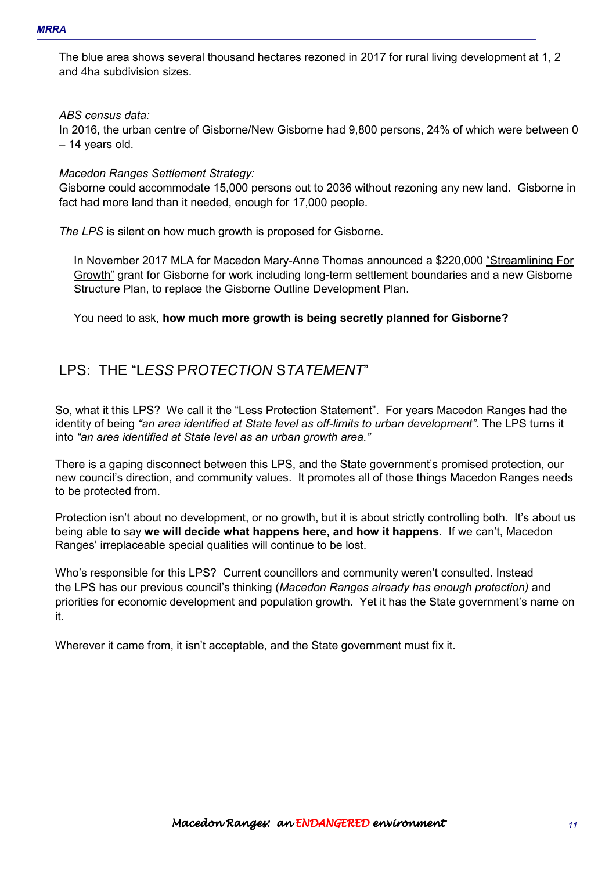The blue area shows several thousand hectares rezoned in 2017 for rural living development at 1, 2 and 4ha subdivision sizes.

#### *ABS census data:*

In 2016, the urban centre of Gisborne/New Gisborne had 9,800 persons, 24% of which were between 0 – 14 years old.

#### *Macedon Ranges Settlement Strategy:*

Gisborne could accommodate 15,000 persons out to 2036 without rezoning any new land. Gisborne in fact had more land than it needed, enough for 17,000 people.

*The LPS* is silent on how much growth is proposed for Gisborne.

In November 2017 MLA for Macedon Mary-Anne Thomas announced a \$220,000 "Streamlining For Growth" grant for Gisborne for work including long-term settlement boundaries and a new Gisborne Structure Plan, to replace the Gisborne Outline Development Plan.

You need to ask, **how much more growth is being secretly planned for Gisborne?**

### LPS: THE "L*ESS* P*ROTECTION* S*TATEMENT*"

So, what it this LPS? We call it the "Less Protection Statement". For years Macedon Ranges had the identity of being *"an area identified at State level as off-limits to urban development"*. The LPS turns it into *"an area identified at State level as an urban growth area."*

There is a gaping disconnect between this LPS, and the State government's promised protection, our new council's direction, and community values. It promotes all of those things Macedon Ranges needs to be protected from.

Protection isn't about no development, or no growth, but it is about strictly controlling both. It's about us being able to say **we will decide what happens here, and how it happens**.If we can't, Macedon Ranges' irreplaceable special qualities will continue to be lost.

Who's responsible for this LPS? Current councillors and community weren't consulted. Instead the LPS has our previous council's thinking (*Macedon Ranges already has enough protection)* and priorities for economic development and population growth. Yet it has the State government's name on it.

Wherever it came from, it isn't acceptable, and the State government must fix it.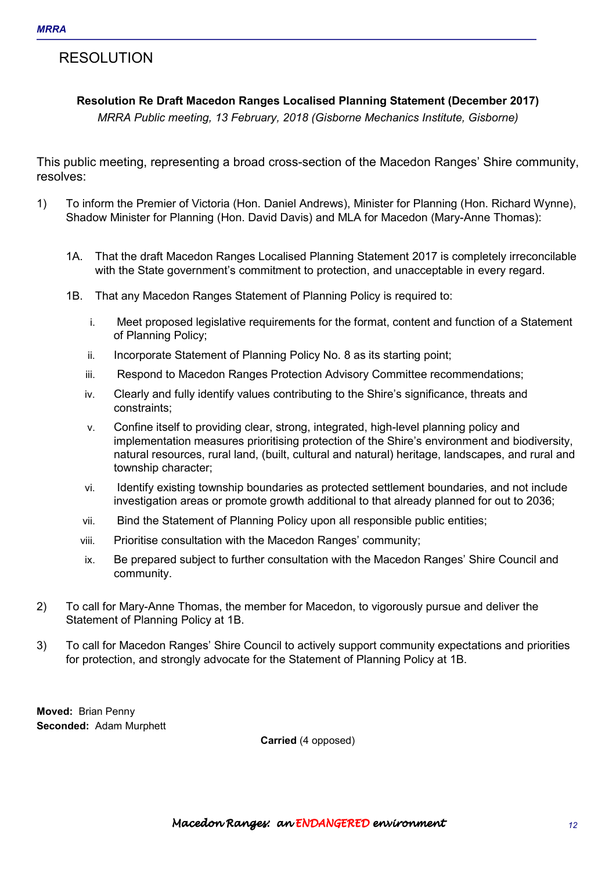### RESOLUTION

### **Resolution Re Draft Macedon Ranges Localised Planning Statement (December 2017)**

*MRRA Public meeting, 13 February, 2018 (Gisborne Mechanics Institute, Gisborne)* 

This public meeting, representing a broad cross-section of the Macedon Ranges' Shire community, resolves:

- 1) To inform the Premier of Victoria (Hon. Daniel Andrews), Minister for Planning (Hon. Richard Wynne), Shadow Minister for Planning (Hon. David Davis) and MLA for Macedon (Mary-Anne Thomas):
	- 1A. That the draft Macedon Ranges Localised Planning Statement 2017 is completely irreconcilable with the State government's commitment to protection, and unacceptable in every regard.
	- 1B. That any Macedon Ranges Statement of Planning Policy is required to:
		- i. Meet proposed legislative requirements for the format, content and function of a Statement of Planning Policy;
		- ii. Incorporate Statement of Planning Policy No. 8 as its starting point;
		- iii. Respond to Macedon Ranges Protection Advisory Committee recommendations;
		- iv. Clearly and fully identify values contributing to the Shire's significance, threats and constraints;
		- v. Confine itself to providing clear, strong, integrated, high-level planning policy and implementation measures prioritising protection of the Shire's environment and biodiversity, natural resources, rural land, (built, cultural and natural) heritage, landscapes, and rural and township character;
		- vi. Identify existing township boundaries as protected settlement boundaries, and not include investigation areas or promote growth additional to that already planned for out to 2036;
		- vii. Bind the Statement of Planning Policy upon all responsible public entities;
		- viii. Prioritise consultation with the Macedon Ranges' community;
		- ix. Be prepared subject to further consultation with the Macedon Ranges' Shire Council and community.
- 2) To call for Mary-Anne Thomas, the member for Macedon, to vigorously pursue and deliver the Statement of Planning Policy at 1B.
- 3) To call for Macedon Ranges' Shire Council to actively support community expectations and priorities for protection, and strongly advocate for the Statement of Planning Policy at 1B.

**Moved:** Brian Penny **Seconded:** Adam Murphett

**Carried** (4 opposed)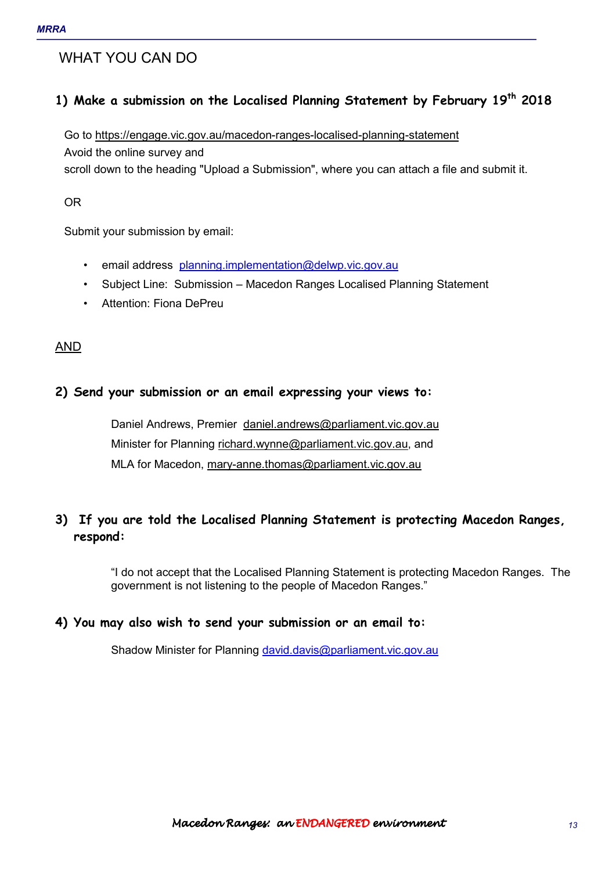### WHAT YOU CAN DO

### **1) Make a submission on the Localised Planning Statement by February 19th 2018**

Go to https://engage.vic.gov.au/macedon-ranges-localised-planning-statement

Avoid the online survey and

scroll down to the heading "Upload a Submission", where you can attach a file and submit it.

OR

Submit your submission by email:

- email address planning.implementation@delwp.vic.gov.au
- Subject Line: Submission Macedon Ranges Localised Planning Statement
- Attention: Fiona DePreu

### AND

### **2) Send your submission or an email expressing your views to:**

Daniel Andrews, Premier daniel.andrews@parliament.vic.gov.au Minister for Planning richard.wynne@parliament.vic.gov.au, and MLA for Macedon, mary-anne.thomas@parliament.vic.gov.au

### **3) If you are told the Localised Planning Statement is protecting Macedon Ranges, respond:**

"I do not accept that the Localised Planning Statement is protecting Macedon Ranges. The government is not listening to the people of Macedon Ranges."

### **4) You may also wish to send your submission or an email to:**

Shadow Minister for Planning david.davis@parliament.vic.gov.au